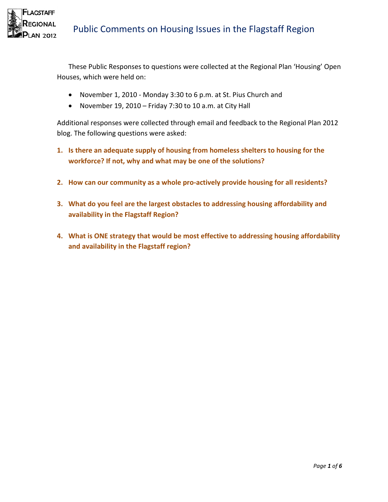

These Public Responses to questions were collected at the Regional Plan 'Housing' Open Houses, which were held on:

- November 1, 2010 Monday 3:30 to 6 p.m. at St. Pius Church and
- November 19, 2010 Friday 7:30 to 10 a.m. at City Hall

Additional responses were collected through email and feedback to the Regional Plan 2012 blog. The following questions were asked:

- **1. Is there an adequate supply of housing from homeless shelters to housing for the workforce? If not, why and what may be one of the solutions?**
- **2. How can our community as a whole pro-actively provide housing for all residents?**
- **3. What do you feel are the largest obstacles to addressing housing affordability and availability in the Flagstaff Region?**
- **4. What is ONE strategy that would be most effective to addressing housing affordability and availability in the Flagstaff region?**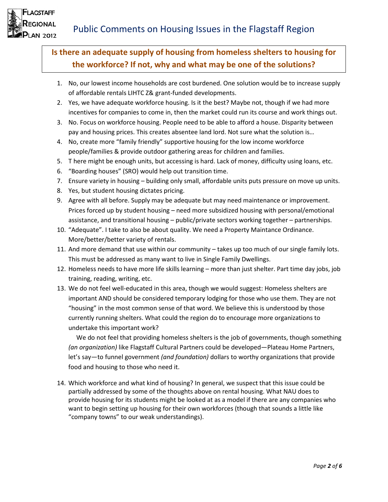

**LAGSTAFF IAUONS IN 2012** 

> **Is there an adequate supply of housing from homeless shelters to housing for the workforce? If not, why and what may be one of the solutions?**

- 1. No, our lowest income households are cost burdened. One solution would be to increase supply of affordable rentals LIHTC Z& grant-funded developments.
- 2. Yes, we have adequate workforce housing. Is it the best? Maybe not, though if we had more incentives for companies to come in, then the market could run its course and work things out.
- 3. No. Focus on workforce housing. People need to be able to afford a house. Disparity between pay and housing prices. This creates absentee land lord. Not sure what the solution is…
- 4. No, create more "family friendly" supportive housing for the low income workforce people/families & provide outdoor gathering areas for children and families.
- 5. T here might be enough units, but accessing is hard. Lack of money, difficulty using loans, etc.
- 6. "Boarding houses" (SRO) would help out transition time.
- 7. Ensure variety in housing building only small, affordable units puts pressure on move up units.
- 8. Yes, but student housing dictates pricing.
- 9. Agree with all before. Supply may be adequate but may need maintenance or improvement. Prices forced up by student housing – need more subsidized housing with personal/emotional assistance, and transitional housing – public/private sectors working together – partnerships.
- 10. "Adequate". I take to also be about quality. We need a Property Maintance Ordinance. More/better/better variety of rentals.
- 11. And more demand that use within our community takes up too much of our single family lots. This must be addressed as many want to live in Single Family Dwellings.
- 12. Homeless needs to have more life skills learning more than just shelter. Part time day jobs, job training, reading, writing, etc.
- 13. We do not feel well-educated in this area, though we would suggest: Homeless shelters are important AND should be considered temporary lodging for those who use them. They are not "housing" in the most common sense of that word. We believe this is understood by those currently running shelters. What could the region do to encourage more organizations to undertake this important work?

 We do not feel that providing homeless shelters is the job of governments, though something *(an organization)* like Flagstaff Cultural Partners could be developed—Plateau Home Partners, let's say—to funnel government *(and foundation)* dollars to worthy organizations that provide food and housing to those who need it.

14. Which workforce and what kind of housing? In general, we suspect that this issue could be partially addressed by some of the thoughts above on rental housing. What NAU does to provide housing for its students might be looked at as a model if there are any companies who want to begin setting up housing for their own workforces (though that sounds a little like "company towns" to our weak understandings).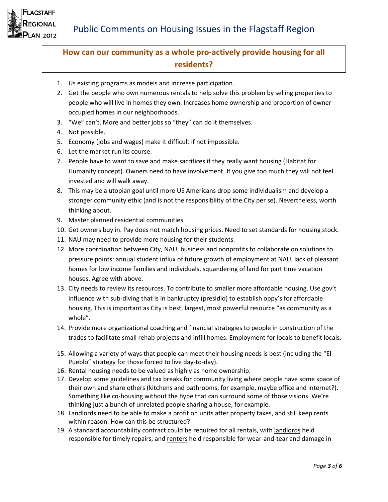



#### **How can our community as a whole pro-actively provide housing for all residents?**

- 1. Us existing programs as models and increase participation.
- 2. Get the people who own numerous rentals to help solve this problem by selling properties to people who will live in homes they own. Increases home ownership and proportion of owner occupied homes in our neighborhoods.
- 3. "We" can't. More and better jobs so "they" can do it themselves.
- 4. Not possible.
- 5. Economy (jobs and wages) make it difficult if not impossible.
- 6. Let the market run its course.
- 7. People have to want to save and make sacrifices if they really want housing (Habitat for Humanity concept). Owners need to have involvement. If you give too much they will not feel invested and will walk away.
- 8. This may be a utopian goal until more US Americans drop some individualism and develop a stronger community ethic (and is not the responsibility of the City per se). Nevertheless, worth thinking about.
- 9. Master planned residential communities.
- 10. Get owners buy in. Pay does not match housing prices. Need to set standards for housing stock.
- 11. NAU may need to provide more housing for their students.
- 12. More coordination between City, NAU, business and nonprofits to collaborate on solutions to pressure points: annual student influx of future growth of employment at NAU, lack of pleasant homes for low income families and individuals, squandering of land for part time vacation houses. Agree with above.
- 13. City needs to review its resources. To contribute to smaller more affordable housing. Use gov't influence with sub-diving that is in bankruptcy (presidio) to establish oppy's for affordable housing. This is important as City is best, largest, most powerful resource "as community as a whole".
- 14. Provide more organizational coaching and financial strategies to people in construction of the trades to facilitate small rehab projects and infill homes. Employment for locals to benefit locals.
- 15. Allowing a variety of ways that people can meet their housing needs is best (including the "El Pueblo" strategy for those forced to live day-to-day).
- 16. Rental housing needs to be valued as highly as home ownership.
- 17. Develop some guidelines and tax breaks for community living where people have some space of their own and share others (kitchens and bathrooms, for example, maybe office and internet?). Something like co-housing without the hype that can surround some of those visions. We're thinking just a bunch of unrelated people sharing a house, for example.
- 18. Landlords need to be able to make a profit on units after property taxes, and still keep rents within reason. How can this be structured?
- 19. A standard accountability contract could be required for all rentals, with landlords held responsible for timely repairs, and renters held responsible for wear-and-tear and damage in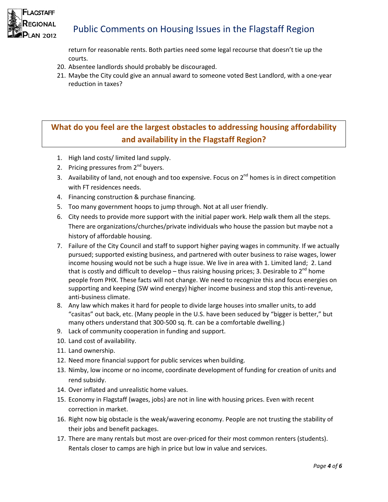

## Public Comments on Housing Issues in the Flagstaff Region

return for reasonable rents. Both parties need some legal recourse that doesn't tie up the courts.

- 20. Absentee landlords should probably be discouraged.
- 21. Maybe the City could give an annual award to someone voted Best Landlord, with a one-year reduction in taxes?

# **What do you feel are the largest obstacles to addressing housing affordability and availability in the Flagstaff Region?**

- 1. High land costs/ limited land supply.
- 2. Pricing pressures from 2<sup>nd</sup> buyers.
- 3. Availability of land, not enough and too expensive. Focus on 2<sup>nd</sup> homes is in direct competition with FT residences needs.
- 4. Financing construction & purchase financing.
- 5. Too many government hoops to jump through. Not at all user friendly.
- 6. City needs to provide more support with the initial paper work. Help walk them all the steps. There are organizations/churches/private individuals who house the passion but maybe not a history of affordable housing.
- 7. Failure of the City Council and staff to support higher paying wages in community. If we actually pursued; supported existing business, and partnered with outer business to raise wages, lower income housing would not be such a huge issue. We live in area with 1. Limited land; 2. Land that is costly and difficult to develop – thus raising housing prices; 3. Desirable to 2<sup>nd</sup> home people from PHX. These facts will not change. We need to recognize this and focus energies on supporting and keeping (SW wind energy) higher income business and stop this anti-revenue, anti-business climate.
- 8. Any law which makes it hard for people to divide large houses into smaller units, to add "casitas" out back, etc. (Many people in the U.S. have been seduced by "bigger is better," but many others understand that 300-500 sq. ft. can be a comfortable dwelling.)
- 9. Lack of community cooperation in funding and support.
- 10. Land cost of availability.
- 11. Land ownership.
- 12. Need more financial support for public services when building.
- 13. Nimby, low income or no income, coordinate development of funding for creation of units and rend subsidy.
- 14. Over inflated and unrealistic home values.
- 15. Economy in Flagstaff (wages, jobs) are not in line with housing prices. Even with recent correction in market.
- 16. Right now big obstacle is the weak/wavering economy. People are not trusting the stability of their jobs and benefit packages.
- 17. There are many rentals but most are over-priced for their most common renters (students). Rentals closer to camps are high in price but low in value and services.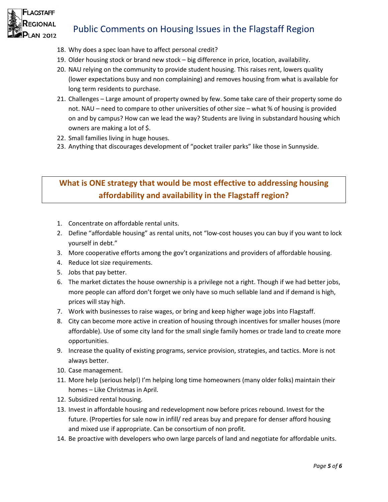

# Public Comments on Housing Issues in the Flagstaff Region

- 18. Why does a spec loan have to affect personal credit?
- 19. Older housing stock or brand new stock big difference in price, location, availability.
- 20. NAU relying on the community to provide student housing. This raises rent, lowers quality (lower expectations busy and non complaining) and removes housing from what is available for long term residents to purchase.
- 21. Challenges Large amount of property owned by few. Some take care of their property some do not. NAU – need to compare to other universities of other size – what % of housing is provided on and by campus? How can we lead the way? Students are living in substandard housing which owners are making a lot of \$.
- 22. Small families living in huge houses.
- 23. Anything that discourages development of "pocket trailer parks" like those in Sunnyside.

#### **What is ONE strategy that would be most effective to addressing housing affordability and availability in the Flagstaff region?**

- 1. Concentrate on affordable rental units.
- 2. Define "affordable housing" as rental units, not "low-cost houses you can buy if you want to lock yourself in debt."
- 3. More cooperative efforts among the gov't organizations and providers of affordable housing.
- 4. Reduce lot size requirements.
- 5. Jobs that pay better.
- 6. The market dictates the house ownership is a privilege not a right. Though if we had better jobs, more people can afford don't forget we only have so much sellable land and if demand is high, prices will stay high.
- 7. Work with businesses to raise wages, or bring and keep higher wage jobs into Flagstaff.
- 8. City can become more active in creation of housing through incentives for smaller houses (more affordable). Use of some city land for the small single family homes or trade land to create more opportunities.
- 9. Increase the quality of existing programs, service provision, strategies, and tactics. More is not always better.
- 10. Case management.
- 11. More help (serious help!) I'm helping long time homeowners (many older folks) maintain their homes – Like Christmas in April.
- 12. Subsidized rental housing.
- 13. Invest in affordable housing and redevelopment now before prices rebound. Invest for the future. (Properties for sale now in infill/ red areas buy and prepare for denser afford housing and mixed use if appropriate. Can be consortium of non profit.
- 14. Be proactive with developers who own large parcels of land and negotiate for affordable units.